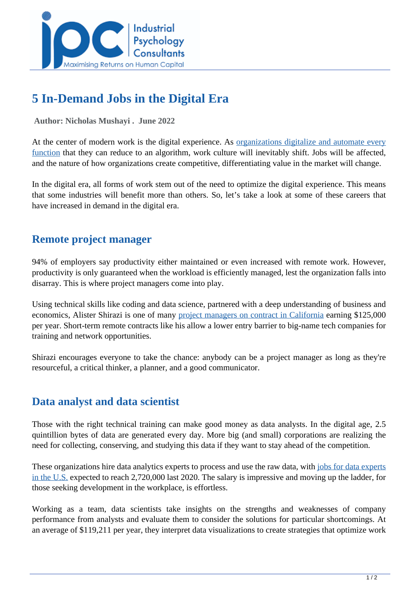

# **5 In-Demand Jobs in the Digital Era**

 **Author: Nicholas Mushayi . June 2022** 

At the center of modern work is the digital experience. As <u>[organizations digitalize and automate every](https://www.cio.com/article/219654/the-future-of-work-in-the-digital-era-may-not-be-what-you-think.html)</u> [function](https://www.cio.com/article/219654/the-future-of-work-in-the-digital-era-may-not-be-what-you-think.html) that they can reduce to an algorithm, work culture will inevitably shift. Jobs will be affected, and the nature of how organizations create competitive, differentiating value in the market will change.

In the digital era, all forms of work stem out of the need to optimize the digital experience. This means that some industries will benefit more than others. So, let's take a look at some of these careers that have increased in demand in the digital era.

## **Remote project manager**

94% of employers say productivity either maintained or even increased with remote work. However, productivity is only guaranteed when the workload is efficiently managed, lest the organization falls into disarray. This is where project managers come into play.

Using technical skills like coding and data science, partnered with a deep understanding of business and economics, Alister Shirazi is one of many [project managers on contract in California](https://www.cnbc.com/2022/02/16/34-year-old-project-manager-earns-125000-and-works-on-contract.html) earning \$125,000 per year. Short-term remote contracts like his allow a lower entry barrier to big-name tech companies for training and network opportunities.

Shirazi encourages everyone to take the chance: anybody can be a project manager as long as they're resourceful, a critical thinker, a planner, and a good communicator.

## **Data analyst and data scientist**

Those with the right technical training can make good money as data analysts. In the digital age, 2.5 quintillion bytes of data are generated every day. More big (and small) corporations are realizing the need for collecting, conserving, and studying this data if they want to stay ahead of the competition.

These organizations hire data analytics experts to process and use the raw data, with [jobs for data experts](../articles/why-are-data-analytics-jobs-more-in-demand-all-you-need-to-know) [in the U.S.](../articles/why-are-data-analytics-jobs-more-in-demand-all-you-need-to-know) expected to reach 2,720,000 last 2020. The salary is impressive and moving up the ladder, for those seeking development in the workplace, is effortless.

Working as a team, data scientists take insights on the strengths and weaknesses of company performance from analysts and evaluate them to consider the solutions for particular shortcomings. At an average of \$119,211 per year, they interpret data visualizations to create strategies that optimize work